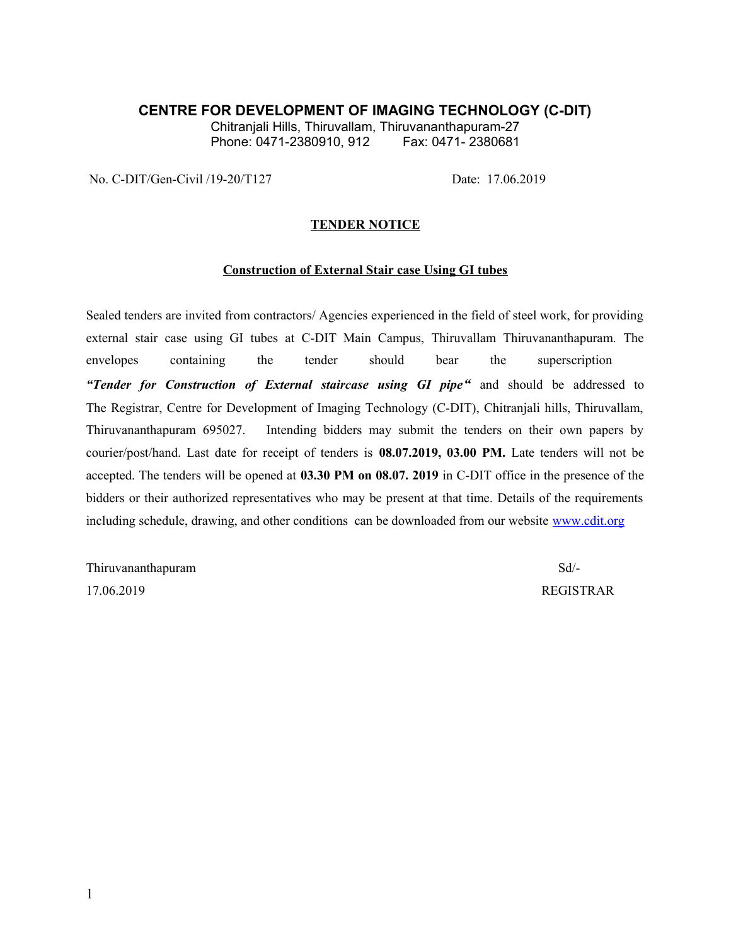# **CENTRE FOR DEVELOPMENT OF IMAGING TECHNOLOGY (C-DIT)**

Chitranjali Hills, Thiruvallam, Thiruvananthapuram-27<br>Phone: 0471-2380910. 912 Fax: 0471- 2380681 Phone: 0471-2380910, 912

No. C-DIT/Gen-Civil /19-20/T127 Date: 17.06.2019

### **TENDER NOTICE**

#### **Construction of External Stair case Using GI tubes**

Sealed tenders are invited from contractors/ Agencies experienced in the field of steel work, for providing external stair case using GI tubes at C-DIT Main Campus, Thiruvallam Thiruvananthapuram. The envelopes containing the tender should bear the superscription *"Tender for Construction of External staircase using GI pipe"* and should be addressed to The Registrar, Centre for Development of Imaging Technology (C-DIT), Chitranjali hills, Thiruvallam, Thiruvananthapuram 695027. Intending bidders may submit the tenders on their own papers by courier/post/hand. Last date for receipt of tenders is **08.07.2019, 03.00 PM.** Late tenders will not be accepted. The tenders will be opened at **03.30 PM on 08.07. 2019** in C-DIT office in the presence of the bidders or their authorized representatives who may be present at that time. Details of the requirements including schedule, drawing, and other conditions can be downloaded from our website [www.cdit.org](http://www.cdit.org/)

Thiruvananthapuram Sd/-17.06.2019 REGISTRAR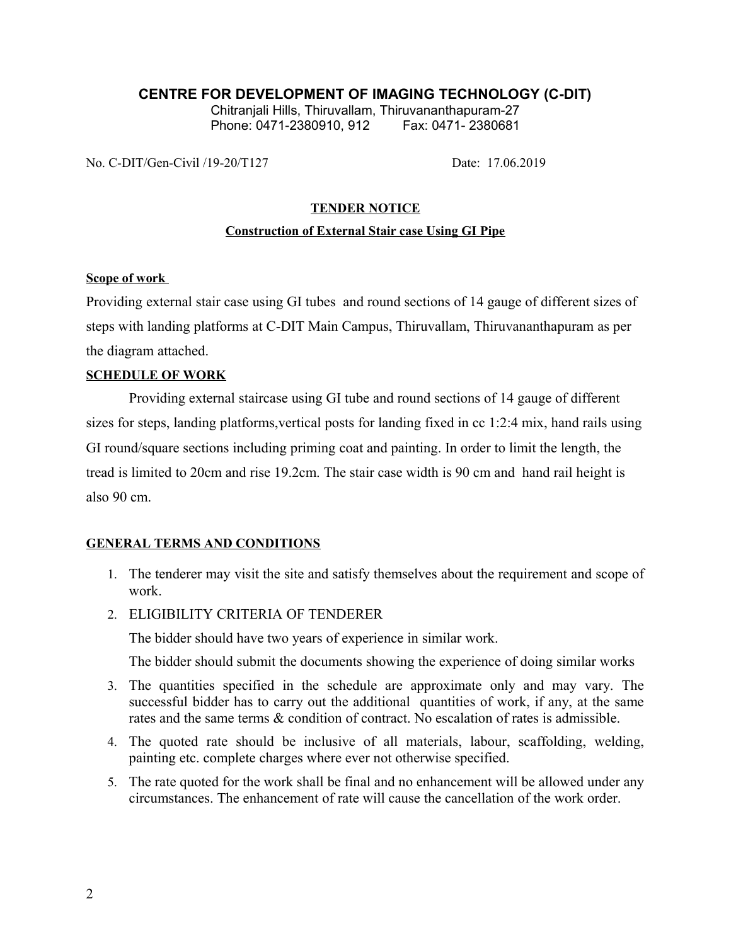# **CENTRE FOR DEVELOPMENT OF IMAGING TECHNOLOGY (C-DIT)**

Chitranjali Hills, Thiruvallam, Thiruvananthapuram-27 Phone: 0471-2380910, 912 Fax: 0471- 2380681

No. C-DIT/Gen-Civil /19-20/T127 Date: 17.06.2019

# **TENDER NOTICE**

### **Construction of External Stair case Using GI Pipe**

### **Scope of work**

Providing external stair case using GI tubes and round sections of 14 gauge of different sizes of steps with landing platforms at C-DIT Main Campus, Thiruvallam, Thiruvananthapuram as per the diagram attached.

# **SCHEDULE OF WORK**

Providing external staircase using GI tube and round sections of 14 gauge of different sizes for steps, landing platforms,vertical posts for landing fixed in cc 1:2:4 mix, hand rails using GI round/square sections including priming coat and painting. In order to limit the length, the tread is limited to 20cm and rise 19.2cm. The stair case width is 90 cm and hand rail height is also 90 cm.

# **GENERAL TERMS AND CONDITIONS**

- 1. The tenderer may visit the site and satisfy themselves about the requirement and scope of work.
- 2. ELIGIBILITY CRITERIA OF TENDERER

The bidder should have two years of experience in similar work.

The bidder should submit the documents showing the experience of doing similar works

- 3. The quantities specified in the schedule are approximate only and may vary. The successful bidder has to carry out the additional quantities of work, if any, at the same rates and the same terms & condition of contract. No escalation of rates is admissible.
- 4. The quoted rate should be inclusive of all materials, labour, scaffolding, welding, painting etc. complete charges where ever not otherwise specified.
- 5. The rate quoted for the work shall be final and no enhancement will be allowed under any circumstances. The enhancement of rate will cause the cancellation of the work order.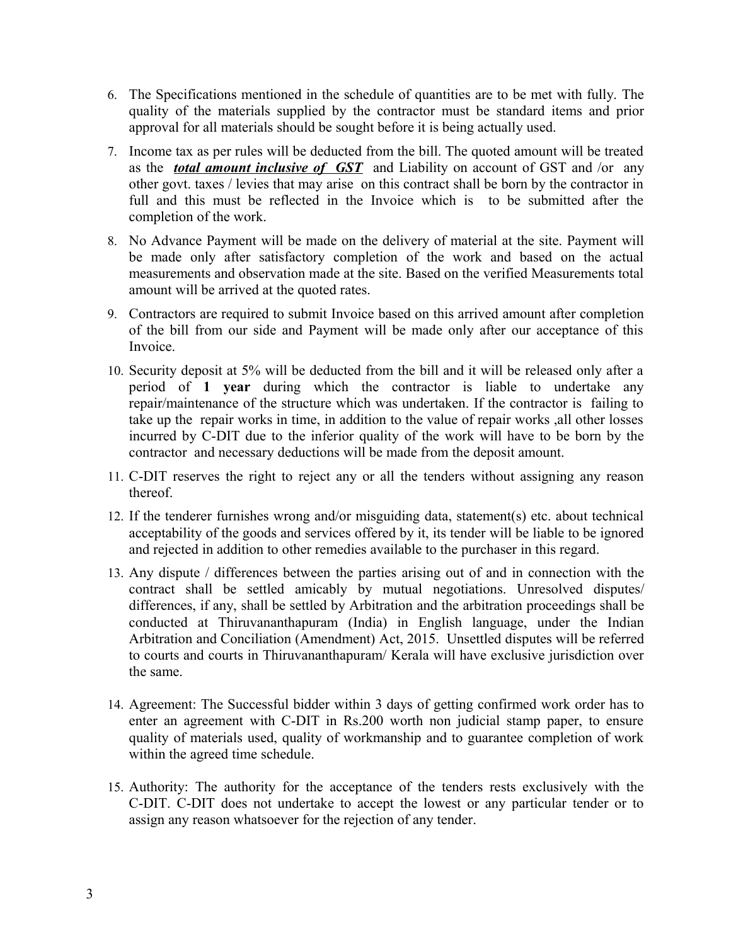- 6. The Specifications mentioned in the schedule of quantities are to be met with fully. The quality of the materials supplied by the contractor must be standard items and prior approval for all materials should be sought before it is being actually used.
- 7. Income tax as per rules will be deducted from the bill. The quoted amount will be treated as the *total amount inclusive of GST* and Liability on account of GST and /or any other govt. taxes / levies that may arise on this contract shall be born by the contractor in full and this must be reflected in the Invoice which is to be submitted after the completion of the work.
- 8. No Advance Payment will be made on the delivery of material at the site. Payment will be made only after satisfactory completion of the work and based on the actual measurements and observation made at the site. Based on the verified Measurements total amount will be arrived at the quoted rates.
- 9. Contractors are required to submit Invoice based on this arrived amount after completion of the bill from our side and Payment will be made only after our acceptance of this Invoice.
- 10. Security deposit at 5% will be deducted from the bill and it will be released only after a period of **1 year** during which the contractor is liable to undertake any repair/maintenance of the structure which was undertaken. If the contractor is failing to take up the repair works in time, in addition to the value of repair works ,all other losses incurred by C-DIT due to the inferior quality of the work will have to be born by the contractor and necessary deductions will be made from the deposit amount.
- 11. C-DIT reserves the right to reject any or all the tenders without assigning any reason thereof.
- 12. If the tenderer furnishes wrong and/or misguiding data, statement(s) etc. about technical acceptability of the goods and services offered by it, its tender will be liable to be ignored and rejected in addition to other remedies available to the purchaser in this regard.
- 13. Any dispute / differences between the parties arising out of and in connection with the contract shall be settled amicably by mutual negotiations. Unresolved disputes/ differences, if any, shall be settled by Arbitration and the arbitration proceedings shall be conducted at Thiruvananthapuram (India) in English language, under the Indian Arbitration and Conciliation (Amendment) Act, 2015. Unsettled disputes will be referred to courts and courts in Thiruvananthapuram/ Kerala will have exclusive jurisdiction over the same.
- 14. Agreement: The Successful bidder within 3 days of getting confirmed work order has to enter an agreement with C-DIT in Rs.200 worth non judicial stamp paper, to ensure quality of materials used, quality of workmanship and to guarantee completion of work within the agreed time schedule.
- 15. Authority: The authority for the acceptance of the tenders rests exclusively with the C-DIT. C-DIT does not undertake to accept the lowest or any particular tender or to assign any reason whatsoever for the rejection of any tender.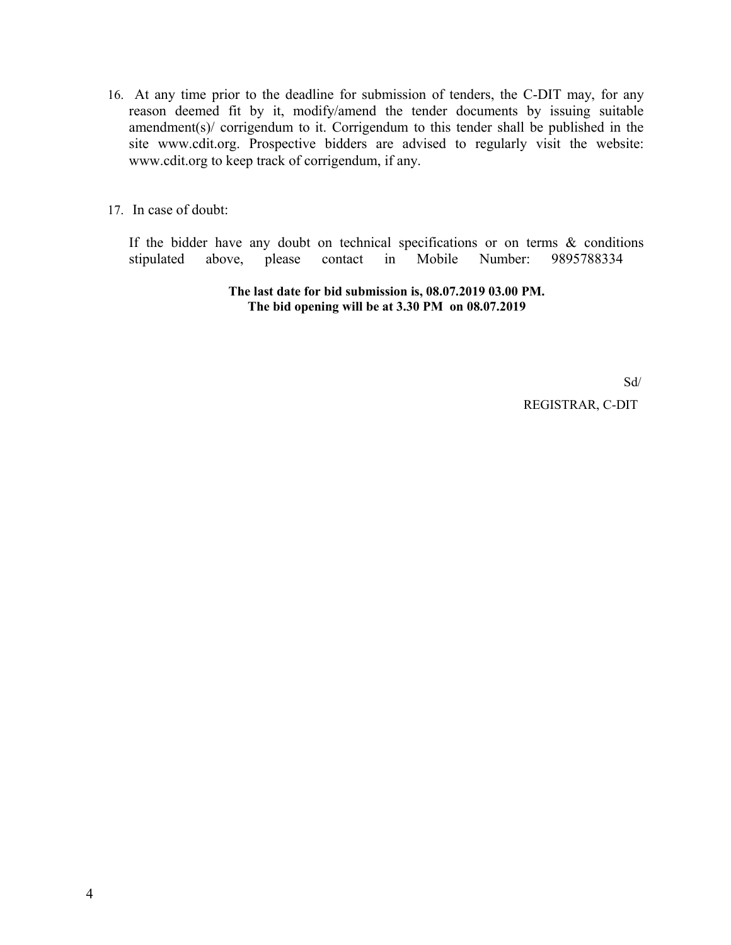16. At any time prior to the deadline for submission of tenders, the C-DIT may, for any reason deemed fit by it, modify/amend the tender documents by issuing suitable amendment(s)/ corrigendum to it. Corrigendum to this tender shall be published in the site www.cdit.org. Prospective bidders are advised to regularly visit the website: www.cdit.org to keep track of corrigendum, if any.

17. In case of doubt:

If the bidder have any doubt on technical specifications or on terms & conditions stipulated above, please contact in Mobile Number: 9895788334

> **The last date for bid submission is, 08.07.2019 03.00 PM. The bid opening will be at 3.30 PM on 08.07.2019**

> > Sd/ REGISTRAR, C-DIT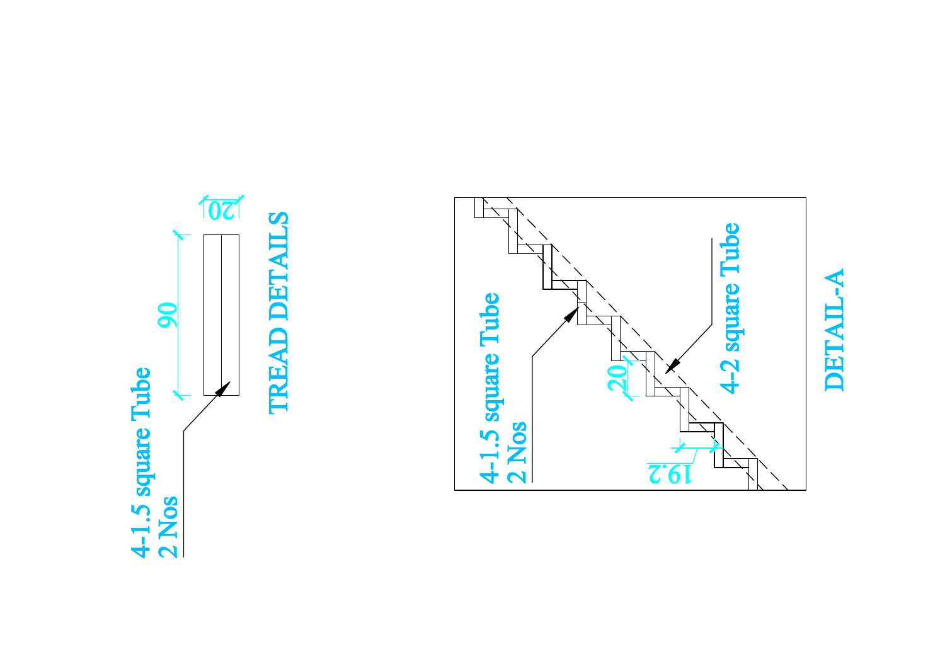